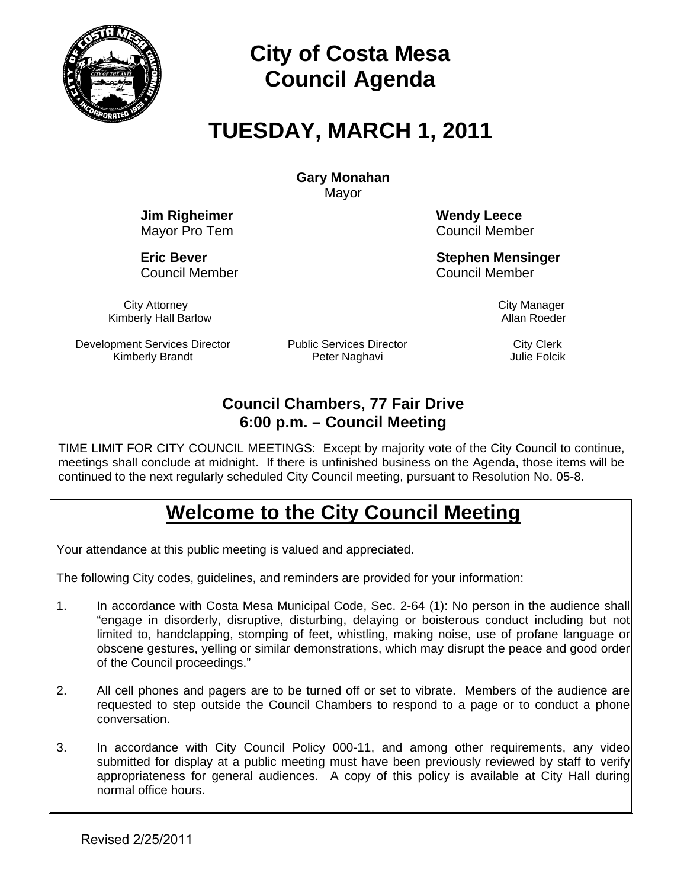

# **City of Costa Mesa Council Agenda**

# **TUESDAY, MARCH 1, 2011**

**Gary Monahan**  Mayor

**Jim Righeimer Wendy Leece** 

Council Member Council Member

Mayor Pro Tem **Council Member** 

**Eric Bever Stephen Mensinger Stephen Mensinger** 

City Attorney Communication City Manager Kimberly Hall Barlow **Allan Roeder Allan Roeder Allan Roeder** 

Development Services Director Kimberly Brandt

Public Services Director Peter Naghavi

City Clerk Julie Folcik

# **Council Chambers, 77 Fair Drive 6:00 p.m. – Council Meeting**

TIME LIMIT FOR CITY COUNCIL MEETINGS: Except by majority vote of the City Council to continue, meetings shall conclude at midnight. If there is unfinished business on the Agenda, those items will be continued to the next regularly scheduled City Council meeting, pursuant to Resolution No. 05-8.

# **Welcome to the City Council Meeting**

Your attendance at this public meeting is valued and appreciated.

The following City codes, guidelines, and reminders are provided for your information:

- 1. In accordance with Costa Mesa Municipal Code, Sec. 2-64 (1): No person in the audience shall "engage in disorderly, disruptive, disturbing, delaying or boisterous conduct including but not limited to, handclapping, stomping of feet, whistling, making noise, use of profane language or obscene gestures, yelling or similar demonstrations, which may disrupt the peace and good order of the Council proceedings."
- 2. All cell phones and pagers are to be turned off or set to vibrate. Members of the audience are requested to step outside the Council Chambers to respond to a page or to conduct a phone conversation.
- 3. In accordance with City Council Policy 000-11, and among other requirements, any video submitted for display at a public meeting must have been previously reviewed by staff to verify appropriateness for general audiences. A copy of this policy is available at City Hall during normal office hours.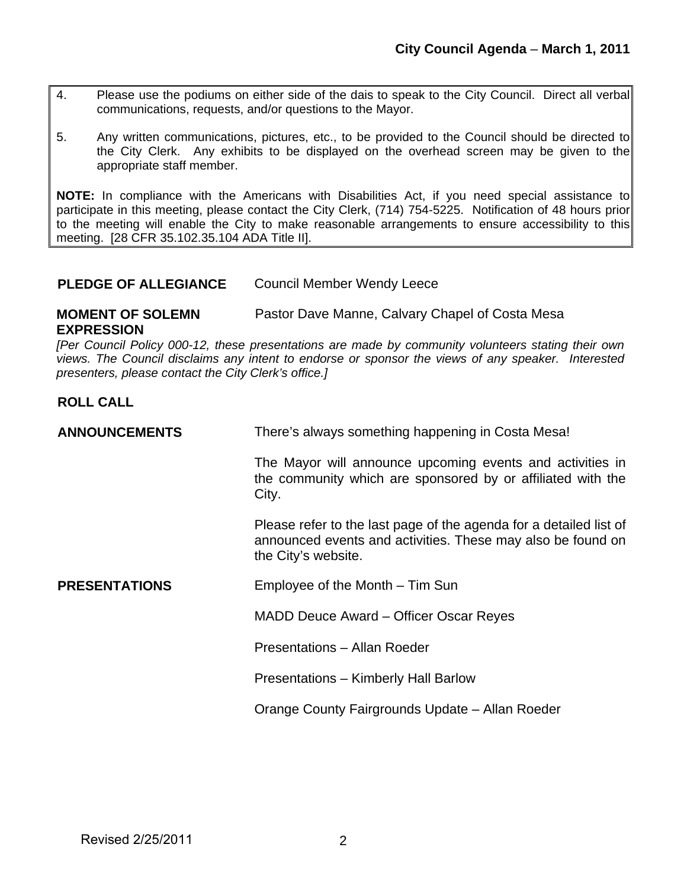- 4. Please use the podiums on either side of the dais to speak to the City Council. Direct all verbal communications, requests, and/or questions to the Mayor.
- 5. Any written communications, pictures, etc., to be provided to the Council should be directed to the City Clerk. Any exhibits to be displayed on the overhead screen may be given to the appropriate staff member.

**NOTE:** In compliance with the Americans with Disabilities Act, if you need special assistance to participate in this meeting, please contact the City Clerk, (714) 754-5225. Notification of 48 hours prior to the meeting will enable the City to make reasonable arrangements to ensure accessibility to this meeting. [28 CFR 35.102.35.104 ADA Title II].

#### **PLEDGE OF ALLEGIANCE** Council Member Wendy Leece

**MOMENT OF SOLEMN EXPRESSION** Pastor Dave Manne, Calvary Chapel of Costa Mesa

*[Per Council Policy 000-12, these presentations are made by community volunteers stating their own views. The Council disclaims any intent to endorse or sponsor the views of any speaker. Interested presenters, please contact the City Clerk's office.]* 

#### **ROLL CALL**

| <b>ANNOUNCEMENTS</b> | There's always something happening in Costa Mesa!                                                                                                        |
|----------------------|----------------------------------------------------------------------------------------------------------------------------------------------------------|
|                      | The Mayor will announce upcoming events and activities in<br>the community which are sponsored by or affiliated with the<br>City.                        |
|                      | Please refer to the last page of the agenda for a detailed list of<br>announced events and activities. These may also be found on<br>the City's website. |
| <b>PRESENTATIONS</b> | Employee of the Month – Tim Sun                                                                                                                          |
|                      | MADD Deuce Award – Officer Oscar Reyes                                                                                                                   |
|                      | Presentations - Allan Roeder                                                                                                                             |
|                      | Presentations - Kimberly Hall Barlow                                                                                                                     |
|                      | Orange County Fairgrounds Update - Allan Roeder                                                                                                          |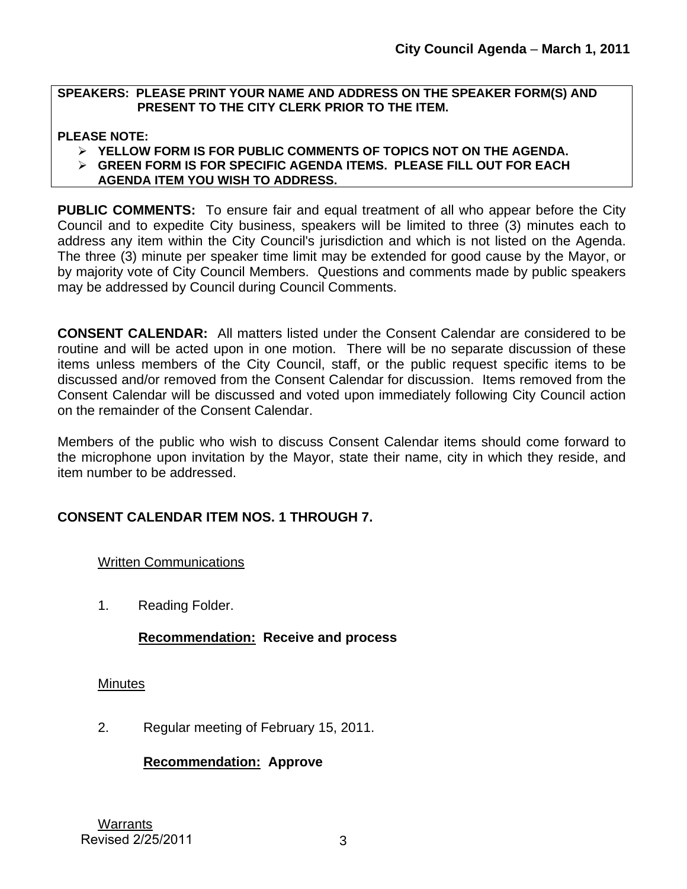#### **SPEAKERS: PLEASE PRINT YOUR NAME AND ADDRESS ON THE SPEAKER FORM(S) AND PRESENT TO THE CITY CLERK PRIOR TO THE ITEM.**

#### **PLEASE NOTE:**

- ¾ **YELLOW FORM IS FOR PUBLIC COMMENTS OF TOPICS NOT ON THE AGENDA.**
- ¾ **GREEN FORM IS FOR SPECIFIC AGENDA ITEMS. PLEASE FILL OUT FOR EACH**
- **AGENDA ITEM YOU WISH TO ADDRESS.**

**PUBLIC COMMENTS:** To ensure fair and equal treatment of all who appear before the City Council and to expedite City business, speakers will be limited to three (3) minutes each to address any item within the City Council's jurisdiction and which is not listed on the Agenda. The three (3) minute per speaker time limit may be extended for good cause by the Mayor, or by majority vote of City Council Members. Questions and comments made by public speakers may be addressed by Council during Council Comments.

**CONSENT CALENDAR:** All matters listed under the Consent Calendar are considered to be routine and will be acted upon in one motion. There will be no separate discussion of these items unless members of the City Council, staff, or the public request specific items to be discussed and/or removed from the Consent Calendar for discussion. Items removed from the Consent Calendar will be discussed and voted upon immediately following City Council action on the remainder of the Consent Calendar.

Members of the public who wish to discuss Consent Calendar items should come forward to the microphone upon invitation by the Mayor, state their name, city in which they reside, and item number to be addressed.

## **CONSENT CALENDAR ITEM NOS. 1 THROUGH 7.**

Written Communications

1. Reading Folder.

### **Recommendation: Receive and process**

### **Minutes**

2. Regular meeting of February 15, 2011.

### **Recommendation: Approve**

Warrants Revised 2/25/2011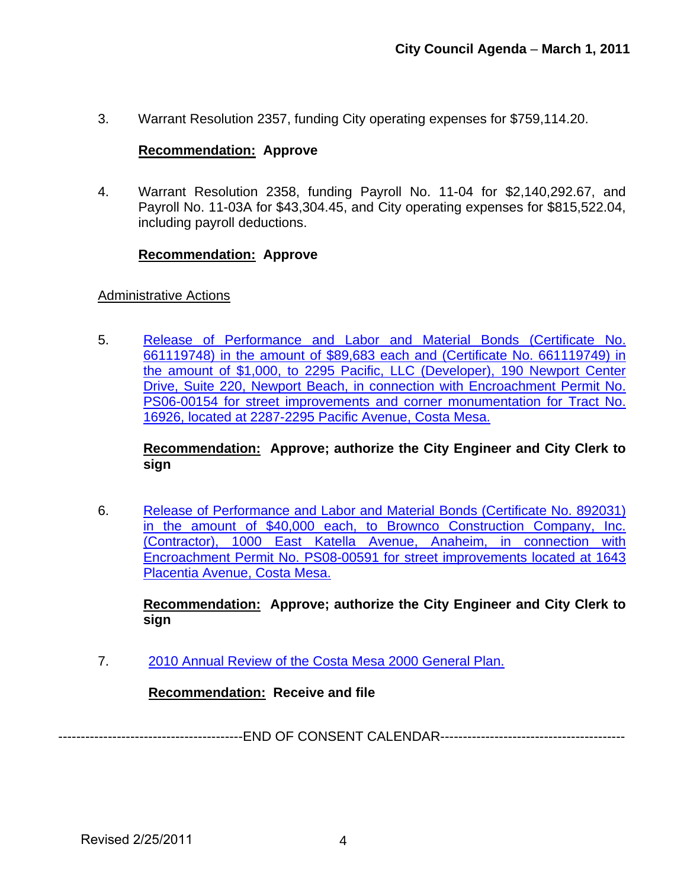3. Warrant Resolution 2357, funding City operating expenses for \$759,114.20.

#### **Recommendation: Approve**

4. Warrant Resolution 2358, funding Payroll No. 11-04 for \$2,140,292.67, and Payroll No. 11-03A for \$43,304.45, and City operating expenses for \$815,522.04, including payroll deductions.

#### **Recommendation: Approve**

#### Administrative Actions

5. [Release of Performance and Labor and Material Bonds \(Certificate No.](http://www.ci.costa-mesa.ca.us/council/agenda/2011-03-01/3_1_11_RlsBonds_Tract_16926_Report.pdf)  [661119748\) in the amount of \\$89,683 each and \(Certificate No. 661119749\) in](http://www.ci.costa-mesa.ca.us/council/agenda/2011-03-01/3_1_11_RlsBonds_Tract_16926_Report.pdf)  [the amount of \\$1,000, to 2295 Pacific, LLC \(Developer\), 190 Newport Center](http://www.ci.costa-mesa.ca.us/council/agenda/2011-03-01/3_1_11_RlsBonds_Tract_16926_Report.pdf)  [Drive, Suite 220, Newport Beach, in connection with Encroachment Permit No.](http://www.ci.costa-mesa.ca.us/council/agenda/2011-03-01/3_1_11_RlsBonds_Tract_16926_Report.pdf)  [PS06-00154 for street improvements and corner monumentation for Tract No.](http://www.ci.costa-mesa.ca.us/council/agenda/2011-03-01/3_1_11_RlsBonds_Tract_16926_Report.pdf)  [16926, located at 2287-2295 Pacific Avenue, Costa Mesa.](http://www.ci.costa-mesa.ca.us/council/agenda/2011-03-01/3_1_11_RlsBonds_Tract_16926_Report.pdf)

**Recommendation: Approve; authorize the City Engineer and City Clerk to sign**

6. [Release of Performance and Labor and Material Bonds \(Certificate No. 892031\)](http://www.ci.costa-mesa.ca.us/council/agenda/2011-03-01/3_1_11_RlsBonds_PS08-00591_Report.pdf)  [in the amount of \\$40,000 each, to Brownco Construction Company, Inc.](http://www.ci.costa-mesa.ca.us/council/agenda/2011-03-01/3_1_11_RlsBonds_PS08-00591_Report.pdf)  [\(Contractor\), 1000 East Katella Avenue, Anaheim, in connection with](http://www.ci.costa-mesa.ca.us/council/agenda/2011-03-01/3_1_11_RlsBonds_PS08-00591_Report.pdf)  [Encroachment Permit No. PS08-00591 for street improvements located at 1643](http://www.ci.costa-mesa.ca.us/council/agenda/2011-03-01/3_1_11_RlsBonds_PS08-00591_Report.pdf)  [Placentia Avenue, Costa Mesa.](http://www.ci.costa-mesa.ca.us/council/agenda/2011-03-01/3_1_11_RlsBonds_PS08-00591_Report.pdf)

**Recommendation: Approve; authorize the City Engineer and City Clerk to sign**

7. [2010 Annual Review of the Costa Mesa 2000 General Plan.](http://www.ci.costa-mesa.ca.us/council/agenda/2011-03-01/030111GPAnnualReview.pdf)

**Recommendation: Receive and file**

-----------------------------------------END OF CONSENT CALENDAR-----------------------------------------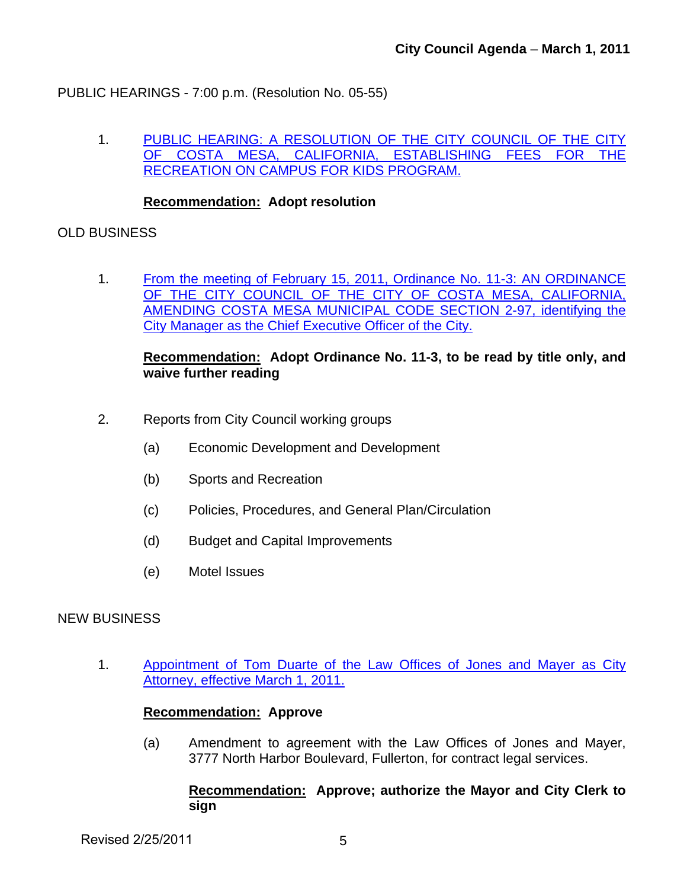PUBLIC HEARINGS - 7:00 p.m. (Resolution No. 05-55)

1. [PUBLIC HEARING: A RESOLUTION OF THE CITY COUNCIL OF THE CITY](http://www.ci.costa-mesa.ca.us/council/agenda/2011-03-01/3_1_11_ROCKS_%20Fee_Pgm_Report.pdf)  [OF COSTA MESA, CALIFORNIA, ESTABLISHING FEES FOR THE](http://www.ci.costa-mesa.ca.us/council/agenda/2011-03-01/3_1_11_ROCKS_%20Fee_Pgm_Report.pdf)  [RECREATION ON CAMPUS FOR KIDS PROGRAM.](http://www.ci.costa-mesa.ca.us/council/agenda/2011-03-01/3_1_11_ROCKS_%20Fee_Pgm_Report.pdf)

#### **Recommendation: Adopt resolution**

#### OLD BUSINESS

1. From the meeting of February 15, 2011, Ordinance No. 11-3: AN ORDINANCE OF THE CITY COUNCIL OF THE CITY OF COSTA MESA, CALIFORNIA, [AMENDING COSTA MESA MUNICIPAL CODE SECTION 2-97, identifying the](http://www.ci.costa-mesa.ca.us/council/agenda/2011-03-01/OrdinanceNo11-3-CMMC-2-97.pdf)  [City Manager as the Chief Executive Officer of the City.](http://www.ci.costa-mesa.ca.us/council/agenda/2011-03-01/OrdinanceNo11-3-CMMC-2-97.pdf)

#### **Recommendation: Adopt Ordinance No. 11-3, to be read by title only, and waive further reading**

- 2. Reports from City Council working groups
	- (a) Economic Development and Development
	- (b) Sports and Recreation
	- (c) Policies, Procedures, and General Plan/Circulation
	- (d) Budget and Capital Improvements
	- (e) Motel Issues

#### NEW BUSINESS

1. [Appointment of Tom Duarte of the Law Offices of Jones and Mayer as City](http://www.ci.costa-mesa.ca.us/council/agenda/2011-03-01/StaffReport-CityAttorneycontract.pdf)  [Attorney, effective March 1, 2011.](http://www.ci.costa-mesa.ca.us/council/agenda/2011-03-01/StaffReport-CityAttorneycontract.pdf)

#### **Recommendation: Approve**

(a) Amendment to agreement with the Law Offices of Jones and Mayer, 3777 North Harbor Boulevard, Fullerton, for contract legal services.

#### **Recommendation: Approve; authorize the Mayor and City Clerk to sign**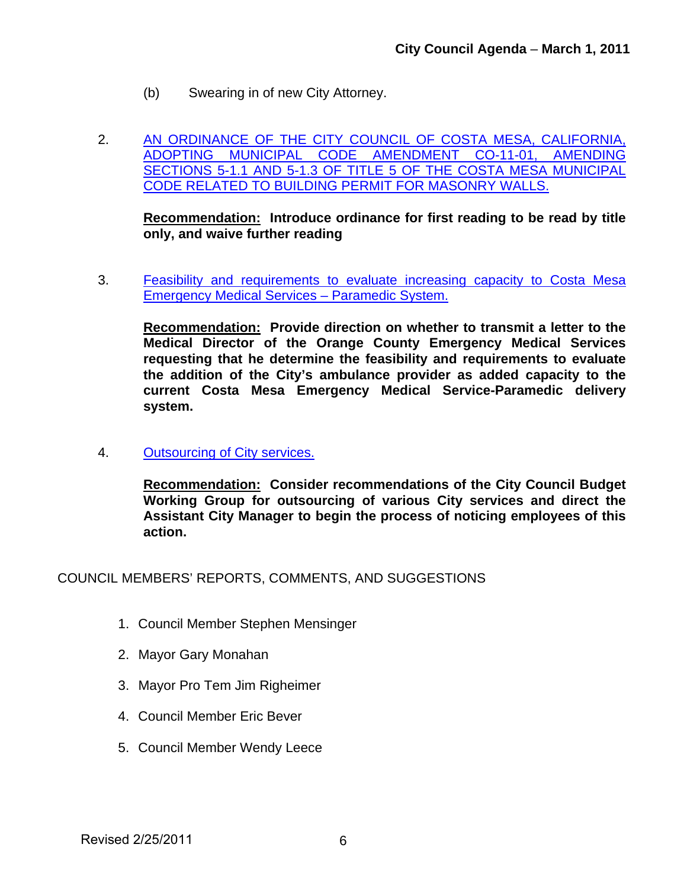- (b) Swearing in of new City Attorney.
- 2. [AN ORDINANCE OF THE CITY COUNCIL OF COSTA MESA, CALIFORNIA,](http://www.ci.costa-mesa.ca.us/council/agenda/2011-03-01/030111MasonryWalls.pdf)  [ADOPTING MUNICIPAL CODE AMENDMENT CO-11-01, AMENDING](http://www.ci.costa-mesa.ca.us/council/agenda/2011-03-01/030111MasonryWalls.pdf)  [SECTIONS 5-1.1 AND 5-1.3 OF TITLE 5 OF THE COSTA MESA MUNICIPAL](http://www.ci.costa-mesa.ca.us/council/agenda/2011-03-01/030111MasonryWalls.pdf)  [CODE RELATED TO BUILDING PERMIT FOR MASONRY WALLS.](http://www.ci.costa-mesa.ca.us/council/agenda/2011-03-01/030111MasonryWalls.pdf)

**Recommendation: Introduce ordinance for first reading to be read by title only, and waive further reading** 

3. [Feasibility and requirements to evaluate increasing capacity to Costa Mesa](http://www.ci.costa-mesa.ca.us/council/agenda/2011-03-01/CCStaffRpt-AddingParamedicCapacity.pdf)  [Emergency Medical Services – Paramedic System.](http://www.ci.costa-mesa.ca.us/council/agenda/2011-03-01/CCStaffRpt-AddingParamedicCapacity.pdf)

**Recommendation: Provide direction on whether to transmit a letter to the Medical Director of the Orange County Emergency Medical Services requesting that he determine the feasibility and requirements to evaluate the addition of the City's ambulance provider as added capacity to the current Costa Mesa Emergency Medical Service-Paramedic delivery system.** 

4. [Outsourcing of City services.](http://www.ci.costa-mesa.ca.us/council/agenda/2011-03-01/CCStaffRpt-OutsourcingCitySvcs_3-1-11.pdf)

**Recommendation: Consider recommendations of the City Council Budget Working Group for outsourcing of various City services and direct the Assistant City Manager to begin the process of noticing employees of this action.** 

COUNCIL MEMBERS' REPORTS, COMMENTS, AND SUGGESTIONS

- 1. Council Member Stephen Mensinger
- 2. Mayor Gary Monahan
- 3. Mayor Pro Tem Jim Righeimer
- 4. Council Member Eric Bever
- 5. Council Member Wendy Leece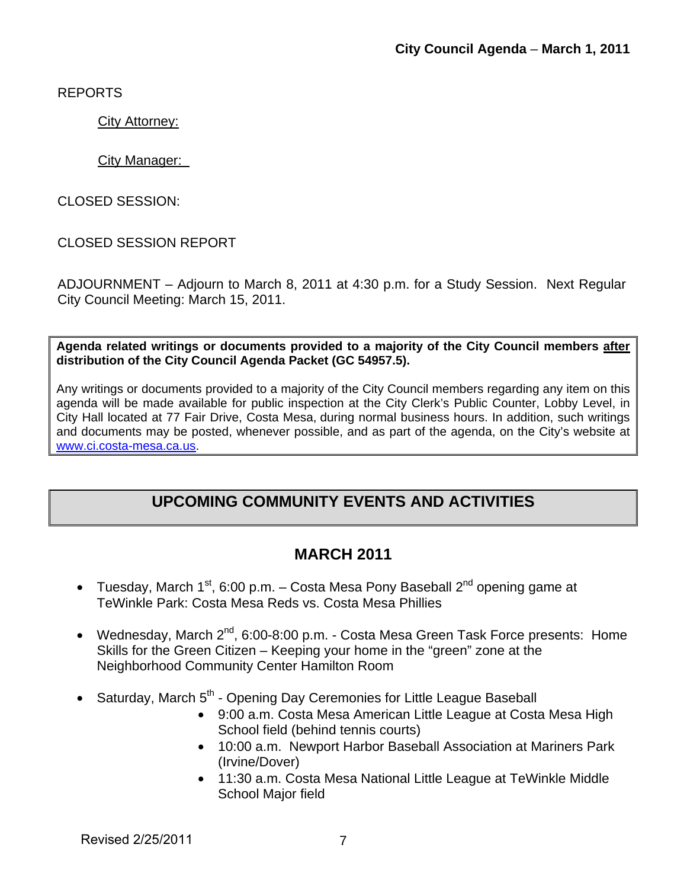REPORTS

City Attorney:

#### City Manager:

CLOSED SESSION:

## CLOSED SESSION REPORT

ADJOURNMENT – Adjourn to March 8, 2011 at 4:30 p.m. for a Study Session. Next Regular City Council Meeting: March 15, 2011.

**Agenda related writings or documents provided to a majority of the City Council members after distribution of the City Council Agenda Packet (GC 54957.5).** 

Any writings or documents provided to a majority of the City Council members regarding any item on this agenda will be made available for public inspection at the City Clerk's Public Counter, Lobby Level, in City Hall located at 77 Fair Drive, Costa Mesa, during normal business hours. In addition, such writings and documents may be posted, whenever possible, and as part of the agenda, on the City's website at [www.ci.costa-mesa.ca.us.](http://www.ci.costa-mesa.ca.us/)

# **UPCOMING COMMUNITY EVENTS AND ACTIVITIES**

## **MARCH 2011**

- Tuesday, March  $1^{st}$ , 6:00 p.m. Costa Mesa Pony Baseball  $2^{nd}$  opening game at TeWinkle Park: Costa Mesa Reds vs. Costa Mesa Phillies
- Wednesday, March 2<sup>nd</sup>, 6:00-8:00 p.m. Costa Mesa Green Task Force presents: Home Skills for the Green Citizen – Keeping your home in the "green" zone at the Neighborhood Community Center Hamilton Room
- Saturday, March  $5<sup>th</sup>$  Opening Day Ceremonies for Little League Baseball
	- 9:00 a.m. Costa Mesa American Little League at Costa Mesa High School field (behind tennis courts)
	- 10:00 a.m. Newport Harbor Baseball Association at Mariners Park (Irvine/Dover)
	- 11:30 a.m. Costa Mesa National Little League at TeWinkle Middle School Major field